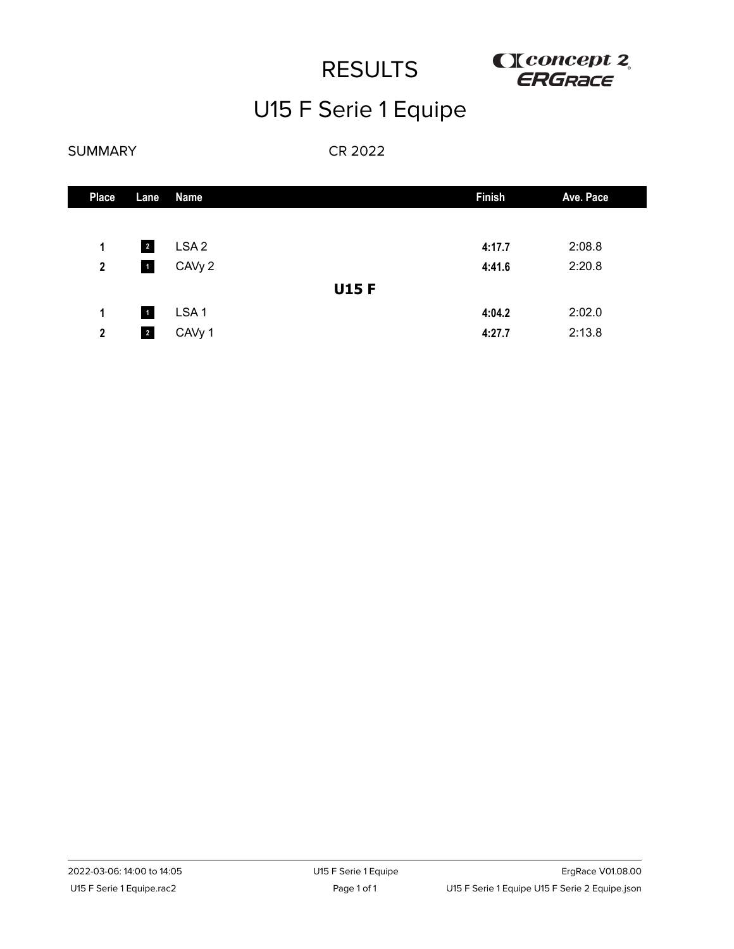

# U15 F Serie 1 Equipe

### SUMMARY

| <b>Place</b>     | Lane                    | <b>Name</b>        |             | <b>Finish</b> | Ave. Pace |
|------------------|-------------------------|--------------------|-------------|---------------|-----------|
|                  |                         |                    |             |               |           |
| 1                | $\overline{\mathbf{2}}$ | LSA <sub>2</sub>   |             | 4:17.7        | 2:08.8    |
| $\boldsymbol{2}$ | $\blacksquare$          | CAV <sub>y</sub> 2 |             | 4:41.6        | 2:20.8    |
|                  |                         |                    | <b>U15F</b> |               |           |
| 1                | $\vert$ 1               | LSA <sub>1</sub>   |             | 4:04.2        | 2:02.0    |
| $\boldsymbol{2}$ | $\overline{2}$          | CAVy 1             |             | 4:27.7        | 2:13.8    |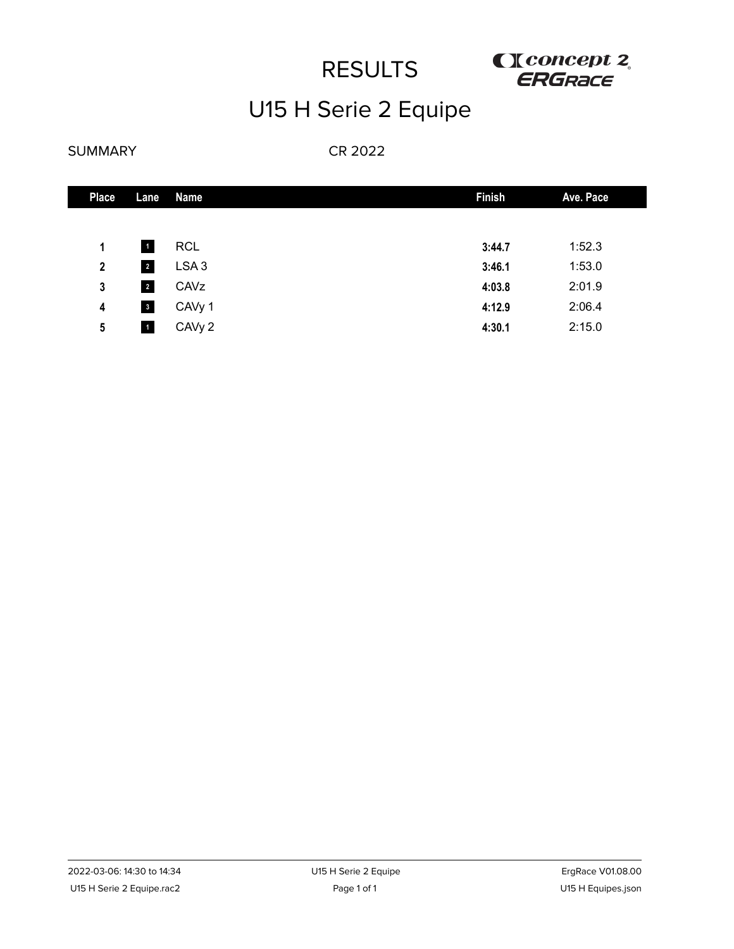

# U15 H Serie 2 Equipe

### SUMMARY

| <b>Place</b> | Lane                    | Name               | <b>Finish</b> | Ave. Pace |
|--------------|-------------------------|--------------------|---------------|-----------|
|              |                         |                    |               |           |
| 1            | $\blacksquare$          | <b>RCL</b>         | 3:44.7        | 1:52.3    |
| $\mathbf{2}$ | $\overline{2}$          | LSA <sub>3</sub>   | 3:46.1        | 1:53.0    |
| 3            | $\overline{2}$          | CAVz               | 4:03.8        | 2:01.9    |
| 4            | $\overline{\mathbf{3}}$ | CAV <sub>y</sub> 1 | 4:12.9        | 2:06.4    |
| 5            | $\blacksquare$          | CAV <sub>y</sub> 2 | 4:30.1        | 2:15.0    |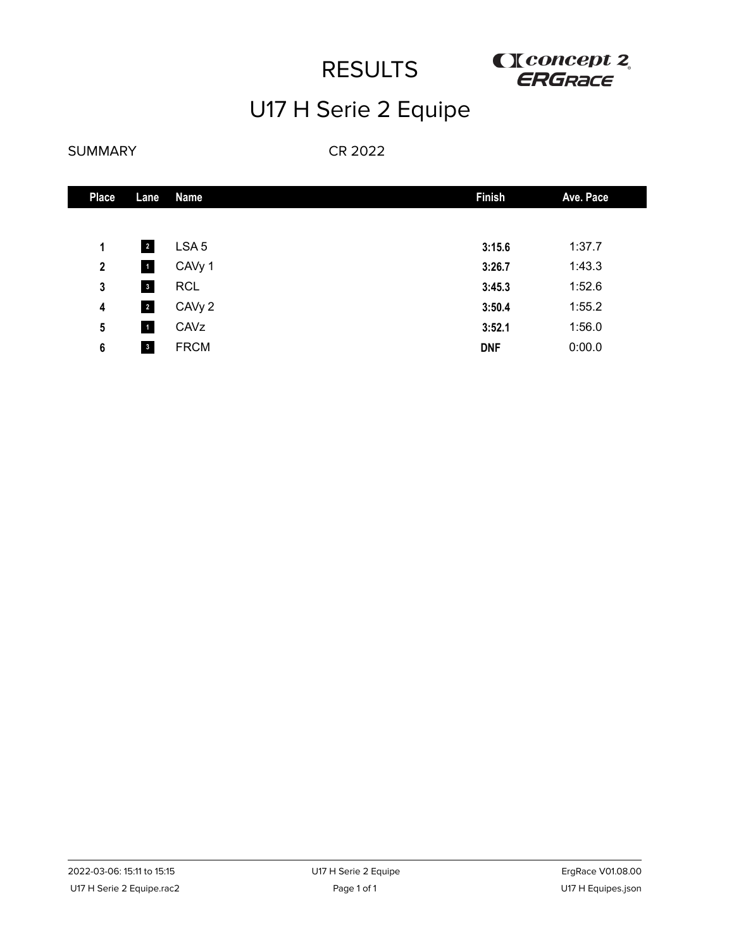

# U17 H Serie 2 Equipe

### SUMMARY

| <b>Place</b>     | Lane                    | <b>Name</b>      | <b>Finish</b> | Ave. Pace |
|------------------|-------------------------|------------------|---------------|-----------|
|                  |                         |                  |               |           |
| 1                | $\overline{2}$          | LSA <sub>5</sub> | 3:15.6        | 1:37.7    |
| $\boldsymbol{2}$ | $\blacksquare$          | CAVy 1           | 3:26.7        | 1:43.3    |
| 3                | $\mathbf{3}$            | <b>RCL</b>       | 3:45.3        | 1:52.6    |
| 4                | $\overline{a}$          | CAVy 2           | 3:50.4        | 1:55.2    |
| 5                | $\blacksquare$          | CAVz             | 3:52.1        | 1:56.0    |
| 6                | $\overline{\mathbf{3}}$ | <b>FRCM</b>      | <b>DNF</b>    | 0:00.0    |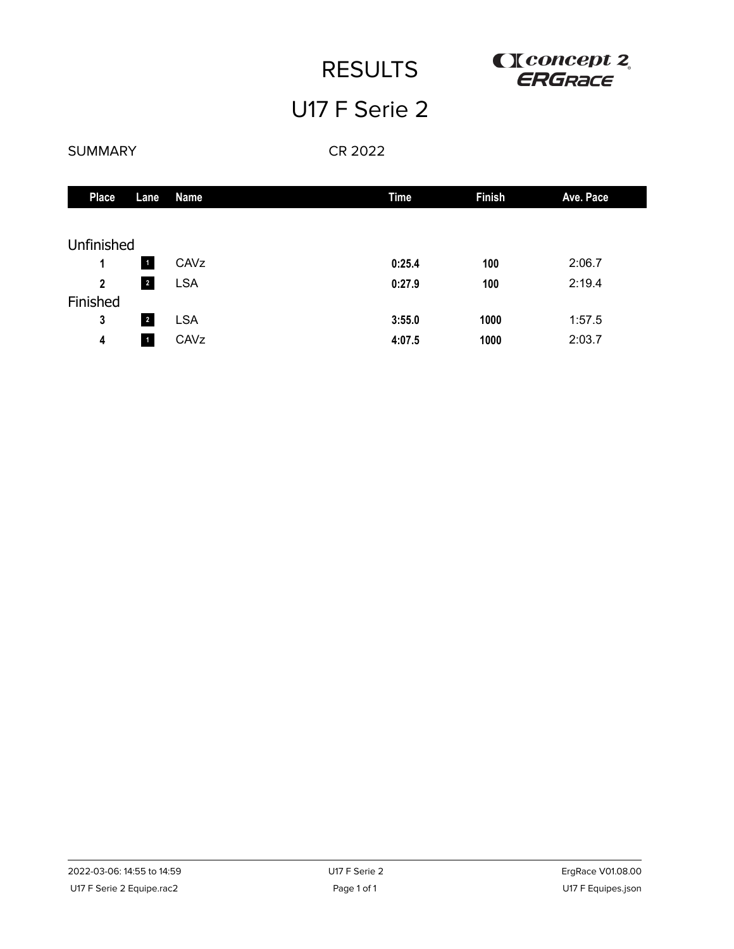

## U17 F Serie 2

### SUMMARY

| <b>Place</b>   | Lane                    | Name       | <b>Time</b> | <b>Finish</b> | Ave. Pace |
|----------------|-------------------------|------------|-------------|---------------|-----------|
|                |                         |            |             |               |           |
| Unfinished     |                         |            |             |               |           |
| 1              | $\vert$ 1               | CAVz       | 0:25.4      | 100           | 2:06.7    |
| $\overline{2}$ | $\overline{\mathbf{r}}$ | <b>LSA</b> | 0:27.9      | 100           | 2:19.4    |
| Finished       |                         |            |             |               |           |
| $\mathbf 3$    | $\overline{2}$          | <b>LSA</b> | 3:55.0      | 1000          | 1:57.5    |
| 4              | $\mathbf{1}$            | CAVz       | 4:07.5      | 1000          | 2:03.7    |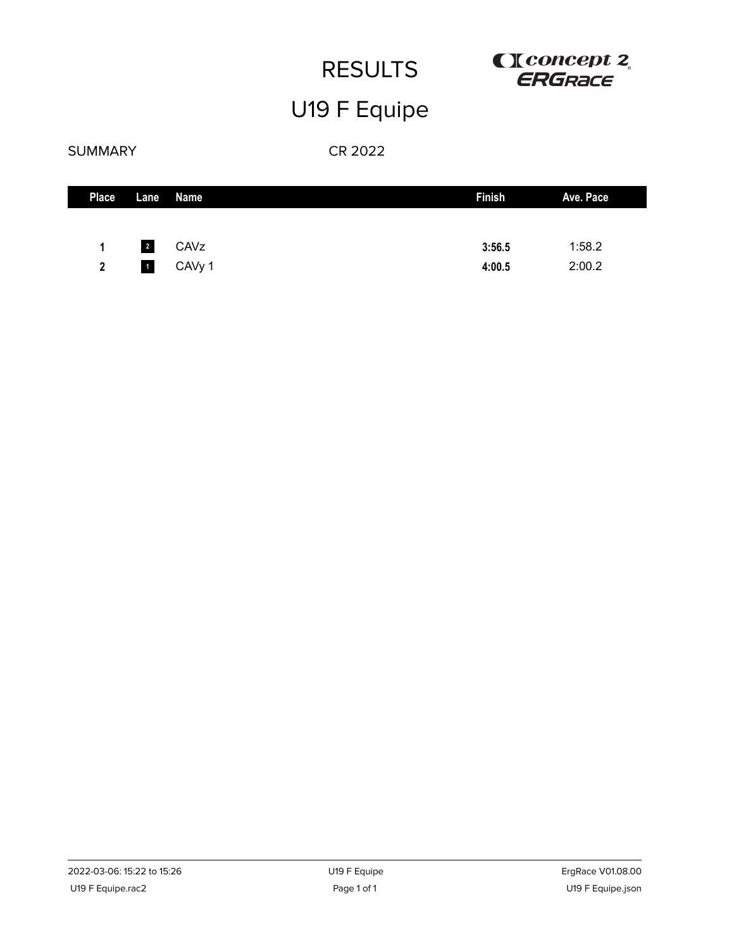# U19 F Equipe



## SUMMARY

| <b>Place</b>   |                         | Lane Name   | <b>Finish</b> | Ave. Pace |
|----------------|-------------------------|-------------|---------------|-----------|
|                |                         |             |               |           |
| 1              | $\overline{\mathbf{2}}$ | <b>CAVz</b> | 3:56.5        | 1:58.2    |
| $\overline{2}$ |                         | 1 CAVy 1    | 4:00.5        | 2:00.2    |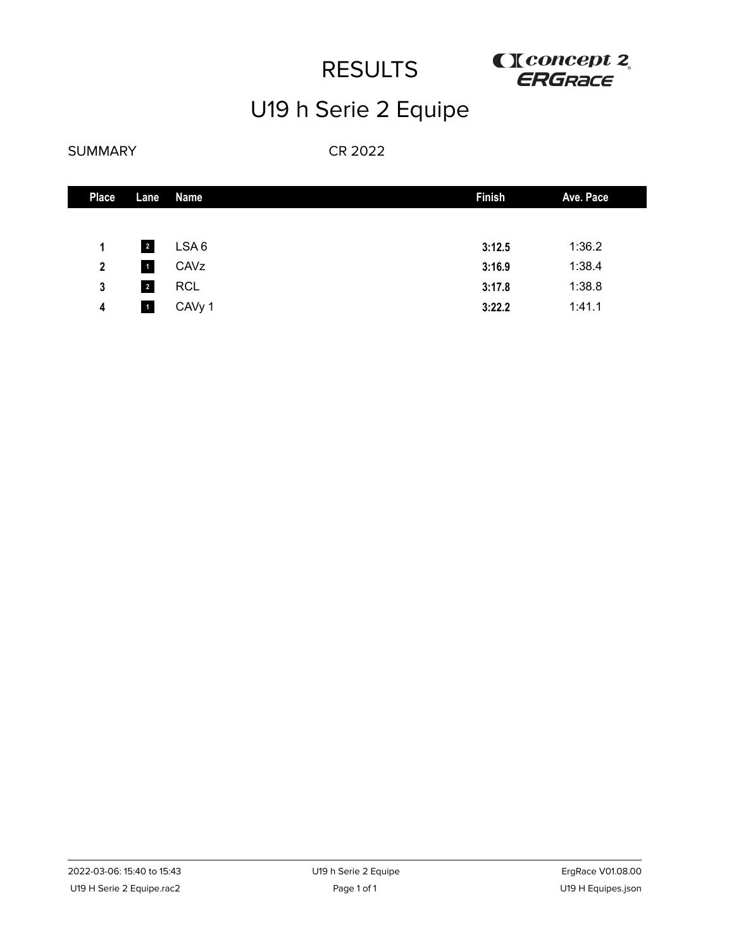

# U19 h Serie 2 Equipe

### SUMMARY

| <b>Place</b>   | Lane                    | Name       | <b>Finish</b> | Ave. Pace |
|----------------|-------------------------|------------|---------------|-----------|
|                |                         |            |               |           |
| 1              | $\overline{2}$          | LSA6       | 3:12.5        | 1:36.2    |
| $\overline{2}$ | $\blacksquare$          | CAVz       | 3:16.9        | 1:38.4    |
| 3              | $\overline{\mathbf{r}}$ | <b>RCL</b> | 3:17.8        | 1:38.8    |
| 4              | $\blacksquare$          | CAVy 1     | 3:22.2        | 1:41.1    |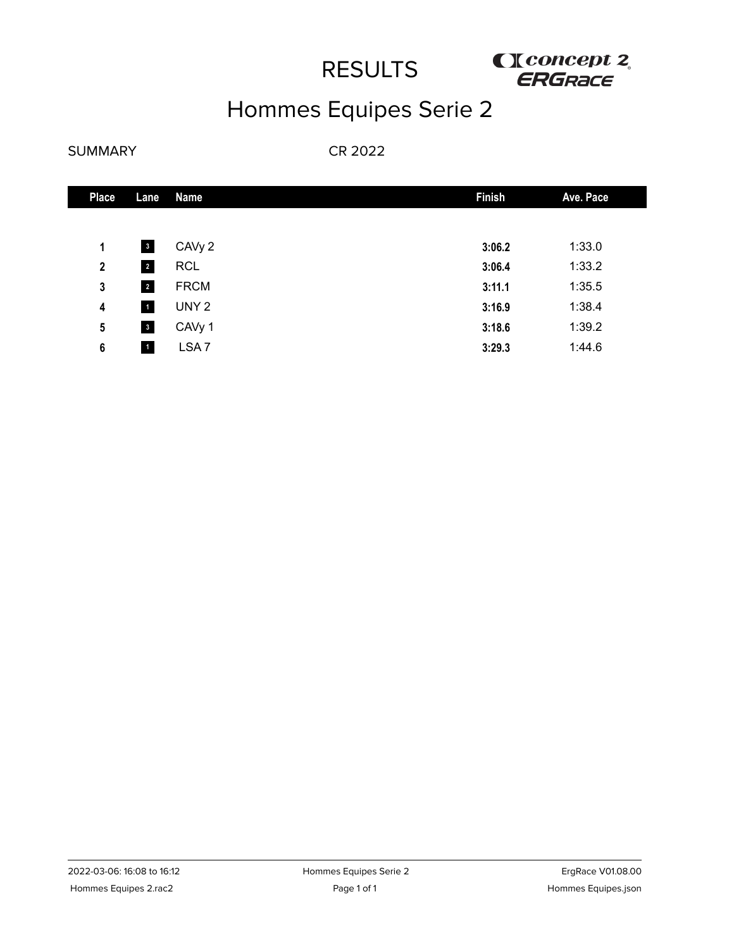

# Hommes Equipes Serie 2

### SUMMARY

| <b>Place</b> | Lane                    | <b>Name</b>        | <b>Finish</b> | Ave. Pace |
|--------------|-------------------------|--------------------|---------------|-----------|
|              |                         |                    |               |           |
| 1            | $\overline{\mathbf{3}}$ | CAV <sub>y</sub> 2 | 3:06.2        | 1:33.0    |
| $\mathbf{2}$ | $\overline{2}$          | <b>RCL</b>         | 3:06.4        | 1:33.2    |
| 3            | $\overline{2}$          | <b>FRCM</b>        | 3:11.1        | 1:35.5    |
| 4            | $\blacksquare$          | UNY <sub>2</sub>   | 3:16.9        | 1:38.4    |
| 5            | $\overline{\mathbf{3}}$ | CAVy 1             | 3:18.6        | 1:39.2    |
| 6            | $\blacksquare$          | LSA <sub>7</sub>   | 3:29.3        | 1:44.6    |